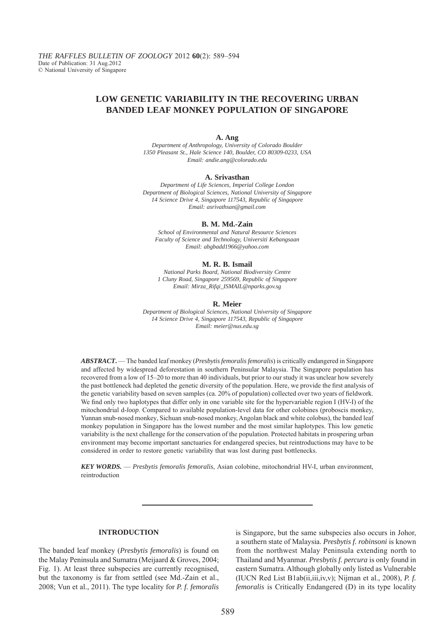# **LOW GENETIC VARIABILITY IN THE RECOVERING URBAN BANDED LEAF MONKEY POPULATION OF SINGAPORE**

### **A. Ang**

*Department of Anthropology, University of Colorado Boulder 1350 Pleasant St., Hale Science 140, Boulder, CO 80309-0233, USA Email: andie.ang@colorado.edu*

#### **A. Srivasthan**

*Department of Life Sciences, Imperial College London Department of Biological Sciences, National University of Singapore 14 Science Drive 4, Singapore 117543, Republic of Singapore Email: asrivathsan@gmail.com*

#### **B. M. Md.-Zain**

*School of Environmental and Natural Resource Sciences Faculty of Science and Technology, Universiti Kebangsaan Email: abgbadd1966@yahoo.com*

#### **M. R. B. Ismail**

*National Parks Board, National Biodiversity Centre 1 Cluny Road, Singapore 259569, Republic of Singapore Email: Mirza\_Rifqi\_ISMAIL@nparks.gov.sg*

#### **R. Meier**

*Department of Biological Sciences, National University of Singapore 14 Science Drive 4, Singapore 117543, Republic of Singapore Email: meier@nus.edu.sg*

*ABSTRACT***.** — The banded leaf monkey (*Presbytis femoralis femoralis*) is critically endangered in Singapore and affected by widespread deforestation in southern Peninsular Malaysia. The Singapore population has recovered from a low of 15–20 to more than 40 individuals, but prior to our study it was unclear how severely the past bottleneck had depleted the genetic diversity of the population. Here, we provide the first analysis of the genetic variability based on seven samples (ca. 20% of population) collected over two years of fieldwork. We find only two haplotypes that differ only in one variable site for the hypervariable region I (HV-I) of the mitochondrial d-*loop*. Compared to available population-level data for other colobines (proboscis monkey, Yunnan snub-nosed monkey*,* Sichuan snub-nosed monkey, Angolan black and white colobus), the banded leaf monkey population in Singapore has the lowest number and the most similar haplotypes. This low genetic variability is the next challenge for the conservation of the population. Protected habitats in prospering urban environment may become important sanctuaries for endangered species, but reintroductions may have to be considered in order to restore genetic variability that was lost during past bottlenecks.

*KEY WORDS.* — *Presbytis femoralis femoralis*, Asian colobine, mitochondrial HV-I, urban environment, reintroduction

## **INTRODUCTION**

The banded leaf monkey (*Presbytis femoralis*) is found on the Malay Peninsula and Sumatra (Meijaard & Groves, 2004; Fig. 1). At least three subspecies are currently recognised, but the taxonomy is far from settled (see Md.-Zain et al., 2008; Vun et al., 2011). The type locality for *P. f. femoralis* 

is Singapore, but the same subspecies also occurs in Johor, a southern state of Malaysia. *Presbytis f. robinsoni* is known from the northwest Malay Peninsula extending north to Thailand and Myanmar. *Presbytis f. percura* is only found in eastern Sumatra. Although globally only listed as Vulnerable (IUCN Red List B1ab(ii,iii,iv,v); Nijman et al., 2008), *P. f. femoralis* is Critically Endangered (D) in its type locality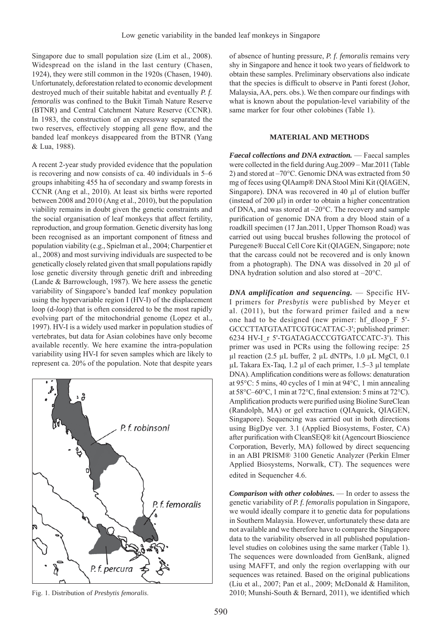Singapore due to small population size (Lim et al., 2008). Widespread on the island in the last century (Chasen, 1924), they were still common in the 1920s (Chasen, 1940). Unfortunately, deforestation related to economic development destroyed much of their suitable habitat and eventually *P. f. femoralis* was confined to the Bukit Timah Nature Reserve (BTNR) and Central Catchment Nature Reserve (CCNR). In 1983, the construction of an expressway separated the two reserves, effectively stopping all gene flow, and the banded leaf monkeys disappeared from the BTNR (Yang & Lua, 1988).

A recent 2-year study provided evidence that the population is recovering and now consists of ca. 40 individuals in 5–6 groups inhabiting 455 ha of secondary and swamp forests in CCNR (Ang et al., 2010). At least six births were reported between 2008 and 2010 (Ang et al., 2010), but the population viability remains in doubt given the genetic constraints and the social organisation of leaf monkeys that affect fertility, reproduction, and group formation. Genetic diversity has long been recognised as an important component of fitness and population viability (e.g., Spielman et al., 2004; Charpentier et al., 2008) and most surviving individuals are suspected to be genetically closely related given that small populations rapidly lose genetic diversity through genetic drift and inbreeding (Lande & Barrowclough, 1987). We here assess the genetic variability of Singapore's banded leaf monkey population using the hypervariable region I (HV-I) of the displacement loop (d-*loop*) that is often considered to be the most rapidly evolving part of the mitochondrial genome (Lopez et al., 1997). HV-I is a widely used marker in population studies of vertebrates, but data for Asian colobines have only become available recently. We here examine the intra-population variability using HV-I for seven samples which are likely to represent ca. 20% of the population. Note that despite years



of absence of hunting pressure, *P. f. femoralis* remains very shy in Singapore and hence it took two years of fieldwork to obtain these samples. Preliminary observations also indicate that the species is difficult to observe in Panti forest (Johor, Malaysia, AA, pers. obs.). We then compare our findings with what is known about the population-level variability of the same marker for four other colobines (Table 1).

# **MATERIAL AND METHODS**

*Faecal collections and DNA extraction.* — Faecal samples were collected in the field during Aug. 2009 – Mar. 2011 (Table 2) and stored at –70°C. Genomic DNA was extracted from 50 mg of feces using QIAamp® DNA Stool Mini Kit (QIAGEN, Singapore). DNA was recovered in 40 μl of elution buffer (instead of 200 μl) in order to obtain a higher concentration of DNA, and was stored at –20°C. The recovery and sample purification of genomic DNA from a dry blood stain of a roadkill specimen (17 Jan.2011, Upper Thomson Road) was carried out using buccal brushes following the protocol of Puregene® Buccal Cell Core Kit (QIAGEN, Singapore; note that the carcass could not be recovered and is only known from a photograph). The DNA was dissolved in 20 μl of DNA hydration solution and also stored at –20°C.

*DNA amplification and sequencing.* — Specific HV-I primers for *Presbytis* were published by Meyer et al. (2011), but the forward primer failed and a new one had to be designed (new primer: hf\_dloop\_F 5'- GCCCTTATGTAATTCGTGCATTAC-3'; published primer: 6234 HV-I\_r 5'-TGATAGACCCGTGATCCATC-3'). This primer was used in PCRs using the following recipe: 25 μl reaction (2.5 μL buffer, 2 μL dNTPs, 1.0 μL MgCl, 0.1 μL Takara Ex-Taq, 1.2 μl of each primer, 1.5–3 μl template DNA). Amplification conditions were as follows: denaturation at 95°C: 5 mins, 40 cycles of 1 min at 94°C, 1 min annealing at  $58^{\circ}$ C–60°C, 1 min at  $72^{\circ}$ C, final extension: 5 mins at  $72^{\circ}$ C). Amplification products were purified using Bioline SureClean (Randolph, MA) or gel extraction (QIAquick, QIAGEN, Singapore). Sequencing was carried out in both directions using BigDye ver. 3.1 (Applied Biosystems, Foster, CA) after purification with CleanSEQ® kit (Agencourt Bioscience Corporation, Beverly, MA) followed by direct sequencing in an ABI PRISM® 3100 Genetic Analyzer (Perkin Elmer Applied Biosystems, Norwalk, CT). The sequences were edited in Sequencher 4.6.

*Comparison with other colobines***.** — In order to assess the genetic variability of *P. f. femoralis* population in Singapore, we would ideally compare it to genetic data for populations in Southern Malaysia. However, unfortunately these data are not available and we therefore have to compare the Singapore data to the variability observed in all published populationlevel studies on colobines using the same marker (Table 1). The sequences were downloaded from GenBank, aligned using MAFFT, and only the region overlapping with our sequences was retained. Based on the original publications (Liu et al., 2007; Pan et al., 2009; McDonald & Hamiliton, Fig. 1. Distribution of *Presbytis femoralis*. 2010; Munshi-South & Bernard, 2011), we identified which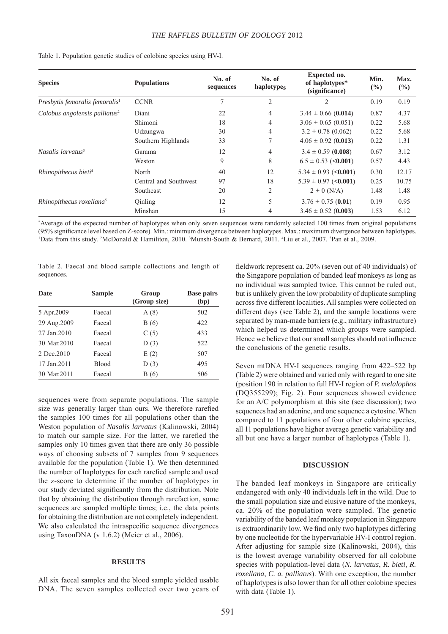| <b>Species</b>                             | <b>Populations</b>    | No. of<br>sequences | No. of<br>haplotypes | Expected no.<br>of haplotypes*<br>(significance) | Min.<br>(%) | Max.<br>$($ %) |
|--------------------------------------------|-----------------------|---------------------|----------------------|--------------------------------------------------|-------------|----------------|
| Presbytis femoralis femoralis <sup>1</sup> | <b>CCNR</b>           | 7                   | $\overline{c}$       | 2                                                | 0.19        | 0.19           |
| Colobus angolensis palliatus <sup>2</sup>  | Diani                 | 22                  | 4                    | $3.44 \pm 0.66$ (0.014)                          | 0.87        | 4.37           |
|                                            | Shimoni               | 18                  | 4                    | $3.06 \pm 0.65$ (0.051)                          | 0.22        | 5.68           |
|                                            | Udzungwa              | 30                  | 4                    | $3.2 \pm 0.78$ (0.062)                           | 0.22        | 5.68           |
|                                            | Southern Highlands    | 33                  | 7                    | $4.06 \pm 0.92$ (0.013)                          | 0.22        | 1.31           |
| Nasalis larvatus <sup>3</sup>              | Garama                | 12                  | 4                    | $3.4 \pm 0.59$ (0.008)                           | 0.67        | 3.12           |
|                                            | Weston                | 9                   | 8                    | $6.5 \pm 0.53$ (<0.001)                          | 0.57        | 4.43           |
| Rhinopithecus bieti <sup>4</sup>           | North                 | 40                  | 12                   | $5.34 \pm 0.93$ (<0.001)                         | 0.30        | 12.17          |
|                                            | Central and Southwest | 97                  | 18                   | $5.39 \pm 0.97$ (<0.001)                         | 0.25        | 10.75          |
|                                            | Southeast             | 20                  | 2                    | $2 \pm 0$ (N/A)                                  | 1.48        | 1.48           |
| Rhinopithecus roxellana <sup>5</sup>       | Qinling               | 12                  | 5                    | $3.76 \pm 0.75$ (0.01)                           | 0.19        | 0.95           |
|                                            | Minshan               | 15                  | 4                    | $3.46 \pm 0.52$ (0.003)                          | 1.53        | 6.12           |

Table 1. Population genetic studies of colobine species using HV-I.

\* Average of the expected number of haplotypes when only seven sequences were randomly selected 100 times from original populations (95% significance level based on Z-score). Min.: minimum divergence between haplotypes. Max.: maximum divergence between haplotypes. Data from this study. <sup>2</sup>McDonald & Hamiliton, 2010. <sup>3</sup>Munshi-South & Bernard, 2011. <sup>4</sup>Liu et al., 2007. <sup>5</sup>Pan et al., 2009.

Table 2. Faecal and blood sample collections and length of sequences.

| <b>Date</b>  | <b>Sample</b> | Group<br>(Group size) | <b>Base pairs</b><br>(bp) |
|--------------|---------------|-----------------------|---------------------------|
| 5 Apr. 2009  | Faecal        | A(8)                  | 502                       |
| 29 Aug.2009  | Faecal        | B(6)                  | 422                       |
| 27 Jan. 2010 | Faecal        | C(5)                  | 433                       |
| 30 Mar 2010  | Faecal        | D(3)                  | 522                       |
| 2 Dec. 2010  | Faecal        | E(2)                  | 507                       |
| 17 Jan.2011  | <b>Blood</b>  | D(3)                  | 495                       |
| 30 Mar.2011  | Faecal        | B(6)                  | 506                       |

sequences were from separate populations. The sample size was generally larger than ours. We therefore rarefied the samples 100 times for all populations other than the Weston population of *Nasalis larvatus* (Kalinowski, 2004) to match our sample size. For the latter, we rarefied the samples only 10 times given that there are only 36 possible ways of choosing subsets of 7 samples from 9 sequences available for the population (Table 1). We then determined the number of haplotypes for each rarefied sample and used the z-score to determine if the number of haplotypes in our study deviated significantly from the distribution. Note that by obtaining the distribution through rarefaction, some sequences are sampled multiple times; i.e., the data points for obtaining the distribution are not completely independent. We also calculated the intraspecific sequence divergences using TaxonDNA (v 1.6.2) (Meier et al., 2006).

### **RESULTS**

All six faecal samples and the blood sample yielded usable DNA. The seven samples collected over two years of

fieldwork represent ca. 20% (seven out of 40 individuals) of the Singapore population of banded leaf monkeys as long as no individual was sampled twice. This cannot be ruled out, but is unlikely given the low probability of duplicate sampling across five different localities. All samples were collected on different days (see Table 2), and the sample locations were separated by man-made barriers (e.g., military infrastructure) which helped us determined which groups were sampled. Hence we believe that our small samples should not influence the conclusions of the genetic results.

Seven mtDNA HV-I sequences ranging from 422–522 bp (Table 2) were obtained and varied only with regard to one site (position 190 in relation to full HV-I region of *P. melalophos*  (DQ355299); Fig. 2). Four sequences showed evidence for an A/C polymorphism at this site (see discussion); two sequences had an adenine, and one sequence a cytosine. When compared to 11 populations of four other colobine species, all 11 populations have higher average genetic variability and all but one have a larger number of haplotypes (Table 1).

## **DISCUSSION**

The banded leaf monkeys in Singapore are critically endangered with only 40 individuals left in the wild. Due to the small population size and elusive nature of the monkeys, ca. 20% of the population were sampled. The genetic variability of the banded leaf monkey population in Singapore is extraordinarily low. We find only two haplotypes differing by one nucleotide for the hypervariable HV-I control region. After adjusting for sample size (Kalinowski, 2004), this is the lowest average variability observed for all colobine species with population-level data (*N. larvatus*, *R. bieti*, *R. roxellana*, *C. a. palliatus*). With one exception, the number of haplotypes is also lower than for all other colobine species with data (Table 1).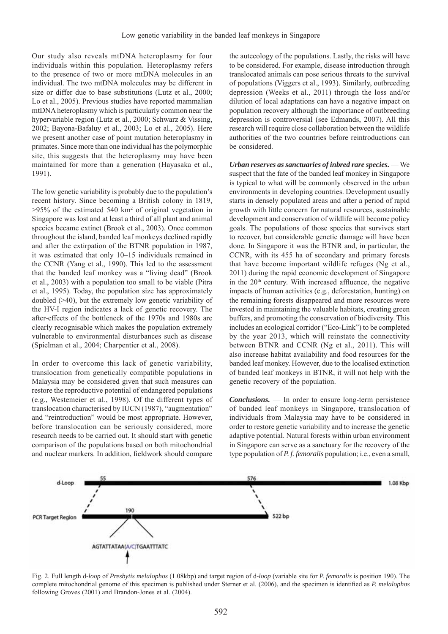Our study also reveals mtDNA heteroplasmy for four individuals within this population. Heteroplasmy refers to the presence of two or more mtDNA molecules in an individual. The two mtDNA molecules may be different in size or differ due to base substitutions (Lutz et al., 2000; Lo et al., 2005). Previous studies have reported mammalian mtDNA heteroplasmy which is particularly common near the hypervariable region (Lutz et al., 2000; Schwarz & Vissing, 2002; Bayona-Bafaluy et al., 2003; Lo et al., 2005). Here we present another case of point mutation heteroplasmy in primates. Since more than one individual has the polymorphic site, this suggests that the heteroplasmy may have been maintained for more than a generation (Hayasaka et al., 1991).

The low genetic variability is probably due to the population's recent history. Since becoming a British colony in 1819,  $>95\%$  of the estimated 540 km<sup>2</sup> of original vegetation in Singapore was lost and at least a third of all plant and animal species became extinct (Brook et al., 2003). Once common throughout the island, banded leaf monkeys declined rapidly and after the extirpation of the BTNR population in 1987, it was estimated that only 10–15 individuals remained in the CCNR (Yang et al., 1990). This led to the assessment that the banded leaf monkey was a "living dead" (Brook et al., 2003) with a population too small to be viable (Pitra et al., 1995). Today, the population size has approximately doubled (>40), but the extremely low genetic variability of the HV-I region indicates a lack of genetic recovery. The after-effects of the bottleneck of the 1970s and 1980s are clearly recognisable which makes the population extremely vulnerable to environmental disturbances such as disease (Spielman et al., 2004; Charpentier et al., 2008).

In order to overcome this lack of genetic variability, translocation from genetically compatible populations in Malaysia may be considered given that such measures can restore the reproductive potential of endangered populations (e.g., Westemeier et al., 1998). Of the different types of translocation characterised by IUCN (1987), "augmentation" and "reintroduction" would be most appropriate. However, before translocation can be seriously considered, more research needs to be carried out. It should start with genetic comparison of the populations based on both mitochondrial and nuclear markers. In addition, fieldwork should compare

the autecology of the populations. Lastly, the risks will have to be considered. For example, disease introduction through translocated animals can pose serious threats to the survival of populations (Viggers et al., 1993). Similarly, outbreeding depression (Weeks et al., 2011) through the loss and/or dilution of local adaptations can have a negative impact on population recovery although the importance of outbreeding depression is controversial (see Edmands, 2007). All this research will require close collaboration between the wildlife authorities of the two countries before reintroductions can be considered.

*Urban reserves as sanctuaries of inbred rare species.* — We suspect that the fate of the banded leaf monkey in Singapore is typical to what will be commonly observed in the urban environments in developing countries. Development usually starts in densely populated areas and after a period of rapid growth with little concern for natural resources, sustainable development and conservation of wildlife will become policy goals. The populations of those species that survives start to recover, but considerable genetic damage will have been done. In Singapore it was the BTNR and, in particular, the CCNR, with its 455 ha of secondary and primary forests that have become important wildlife refuges (Ng et al., 2011) during the rapid economic development of Singapore in the 20<sup>th</sup> century. With increased affluence, the negative impacts of human activities (e.g., deforestation, hunting) on the remaining forests disappeared and more resources were invested in maintaining the valuable habitats, creating green buffers, and promoting the conservation of biodiversity. This includes an ecological corridor ("Eco-Link") to be completed by the year 2013, which will reinstate the connectivity between BTNR and CCNR (Ng et al., 2011). This will also increase habitat availability and food resources for the banded leaf monkey. However, due to the localised extinction of banded leaf monkeys in BTNR, it will not help with the genetic recovery of the population.

*Conclusions.* — In order to ensure long-term persistence of banded leaf monkeys in Singapore, translocation of individuals from Malaysia may have to be considered in order to restore genetic variability and to increase the genetic adaptive potential. Natural forests within urban environment in Singapore can serve as a sanctuary for the recovery of the type population of *P. f. femoralis* population; i.e., even a small,



Fig. 2. Full length d-*loop* of *Presbytis melalophos* (1.08kbp) and target region of d-*loop* (variable site for *P. femoralis* is position 190). The complete mitochondrial genome of this specimen is published under Sterner et al. (2006), and the specimen is identified as *P. melalophos* following Groves (2001) and Brandon-Jones et al. (2004).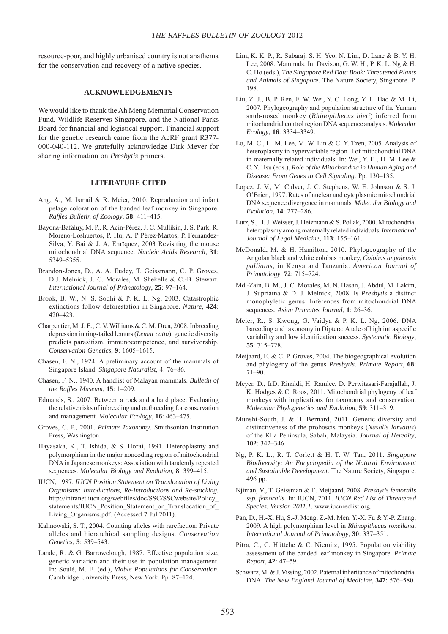resource-poor, and highly urbanised country is not anathema for the conservation and recovery of a native species.

#### **ACKNOWLEDGEMENTS**

We would like to thank the Ah Meng Memorial Conservation Fund, Wildlife Reserves Singapore, and the National Parks Board for financial and logistical support. Financial support for the genetic research came from the AcRF grant R377- 000-040-112. We gratefully acknowledge Dirk Meyer for sharing information on *Presbytis* primers.

### **LITERATURE CITED**

- Ang, A., M. Ismail & R. Meier, 2010. Reproduction and infant pelage coloration of the banded leaf monkey in Singapore. *Raffl es Bulletin of Zoology*, **58**: 411–415.
- Bayona-Bafaluy, M. P., R. Acin-Pérez, J. C. Mullikin, J. S. Park, R. Moreno-Loshuertos, P. Hu, A. P Pérez-Martos, P. Fernández-Silva, Y. Bai & J. A, Enriquez, 2003 Revisiting the mouse mitochondrial DNA sequence. *Nucleic Acids Research*, **31**: 5349–5355.
- Brandon-Jones, D., A. A. Eudey, T. Geissmann, C. P. Groves, D.J. Melnick, J. C. Morales, M. Shekelle & C.-B. Stewart. *International Journal of Primatology*, **25**: 97–164.
- Brook, B. W., N. S. Sodhi & P. K. L. Ng, 2003. Catastrophic extinctions follow deforestation in Singapore. *Nature*, **424**: 420–423.
- Charpentier, M. J. E., C. V. Williams & C. M. Drea, 2008. Inbreeding depression in ring-tailed lemurs (*Lemur catta*): genetic diversity predicts parasitism, immunocompetence, and survivorship. *Conservation Genetics*, **9**: 1605–1615.
- Chasen, F. N., 1924. A preliminary account of the mammals of Singapore Island. *Singapore Naturalist*, 4: 76–86.
- Chasen, F. N., 1940. A handlist of Malayan mammals. *Bulletin of the Raffl es Museum*, **15**: 1–209.
- Edmands, S., 2007. Between a rock and a hard place: Evaluating the relative risks of inbreeding and outbreeding for conservation and management. *Molecular Ecology*, **16**: 463–475.
- Groves, C. P., 2001. *Primate Taxonomy*. Smithsonian Institution Press, Washington.
- Hayasaka, K., T. Ishida, & S. Horai, 1991. Heteroplasmy and polymorphism in the major noncoding region of mitochondrial DNA in Japanese monkeys: Association with tandemly repeated sequences. *Molecular Biology and Evolution,* **8**: 399–415.
- IUCN, 1987. *IUCN Position Statement on Translocation of Living Organisms: Introductions, Re-introductions and Re-stocking.*  http://intranet.iucn.org/webfiles/doc/SSC/SSCwebsite/Policy statements/IUCN\_Position\_Statement\_on\_Translocation\_of\_ Living Organisms.pdf. (Accessed 7 Jul.2011).
- Kalinowski, S. T., 2004. Counting alleles with rarefaction: Private alleles and hierarchical sampling designs. *Conservation Genetics*, **5**: 539–543.
- Lande, R. & G. Barrowclough, 1987. Effective population size, genetic variation and their use in population management. In: Soulé, M. E. (ed.), *Viable Populations for Conservation*. Cambridge University Press, New York. Pp. 87–124.
- Lim, K. K. P., R. Subaraj, S. H. Yeo, N. Lim, D. Lane & B. Y. H. Lee, 2008. Mammals. In: Davison, G. W. H., P. K. L. Ng & H. C. Ho (eds.), *The Singapore Red Data Book: Threatened Plants and Animals of Singapore*. The Nature Society, Singapore. P. 198.
- Liu, Z. J., B. P. Ren, F. W. Wei, Y. C. Long, Y. L. Hao & M. Li, 2007. Phylogeography and population structure of the Yunnan snub-nosed monkey (*Rhinopithecus bieti*) inferred from mitochondrial control region DNA sequence analysis. *Molecular Ecology*, **16**: 3334–3349.
- Lo, M. C., H. M. Lee, M. W. Lin & C. Y. Tzen, 2005. Analysis of heteroplasmy in hypervariable region II of mitochondrial DNA in maternally related individuals. In: Wei, Y. H., H. M. Lee & C. Y. Hsu (eds.), *Role of the Mitochondria in Human Aging and Disease: From Genes to Cell Signaling*. Pp. 130–135.
- Lopez, J. V., M. Culver, J. C. Stephens, W. E. Johnson & S. J. O'Brien, 1997. Rates of nuclear and cytoplasmic mitochondrial DNA sequence divergence in mammals. *Molecular Biology and Evolution*, **14**: 277–286.
- Lutz, S., H. J. Weisser, J. Heizmann & S. Pollak, 2000. Mitochondrial heteroplasmy among maternally related individuals. *International Journal of Legal Medicine*, **113**: 155–161.
- McDonald, M. & H. Hamilton, 2010. Phylogeography of the Angolan black and white colobus monkey, *Colobus angolensis palliatus*, in Kenya and Tanzania. *American Journal of Primatology*, **72**: 715–724.
- Md.-Zain, B. M., J. C. Morales, M. N. Hasan, J. Abdul, M. Lakim, J. Supriatna & D. J. Melnick, 2008. Is *Presbytis* a distinct monophyletic genus: Inferences from mitochondrial DNA sequences. *Asian Primates Journal*, **1**: 26–36.
- Meier, R., S. Kwong, G. Vaidya & P. K. L. Ng, 2006. DNA barcoding and taxonomy in Diptera: A tale of high intraspecific variability and low identification success. Systematic Biology, **55**: 715–728.
- Meijaard, E. & C. P. Groves, 2004. The biogeographical evolution and phylogeny of the genus *Presbytis*. *Primate Report*, **68**: 71–90.
- Meyer, D., IrD. Rinaldi, H. Ramlee, D. Perwitasari-Farajallah, J. K. Hodges & C. Roos, 2011. Mitochondrial phylogeny of leaf monkeys with implications for taxonomy and conservation. *Molecular Phylogenetics and Evolution*, **59**: 311–319.
- Munshi-South, J. & H. Bernard, 2011. Genetic diversity and distinctiveness of the proboscis monkeys (*Nasalis larvatus*) of the Klia Peninsula, Sabah, Malaysia. *Journal of Heredity*, **102**: 342–346.
- Ng, P. K. L., R. T. Corlett & H. T. W. Tan, 2011. *Singapore Biodiversity: An Encyclopedia of the Natural Environment and Sustainable Development*. The Nature Society, Singapore. 496 pp.
- Njiman, V., T. Geissman & E. Meijaard, 2008. *Presbytis femoralis ssp. femoralis*. In: IUCN, 2011. *IUCN Red List of Threatened Species. Version 2011.1.* www.iucnredlist.org.
- Pan, D., H.-X. Hu, S.-J. Meng, Z.-M. Men, Y.-X. Fu & Y.-P. Zhang, 2009. A high polymorphism level in *Rhinopithecus roxellana*. *International Journal of Primatology*, **30**: 337–351.
- Pitra, C., C. Hüttche & C. Niemitz, 1995. Population viability assessment of the banded leaf monkey in Singapore. *Primate Report*, **42**: 47–59.
- Schwarz, M. & J. Vissing, 2002. Paternal inheritance of mitochondrial DNA. *The New England Journal of Medicine*, **347**: 576–580.